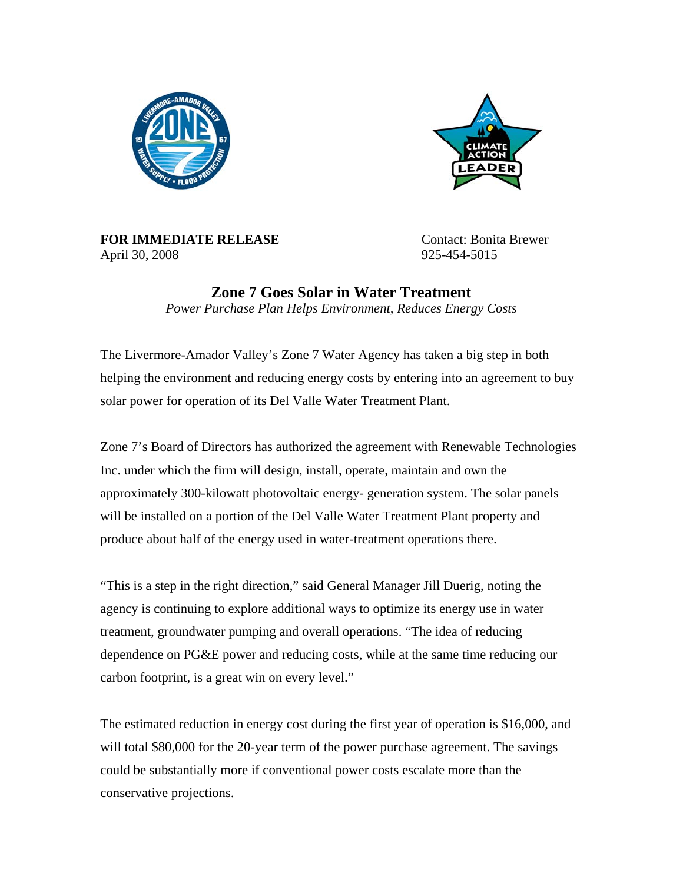



**FOR IMMEDIATE RELEASE** Contact: Bonita Brewer April 30, 2008 925-454-5015

**Zone 7 Goes Solar in Water Treatment**  *Power Purchase Plan Helps Environment, Reduces Energy Costs* 

The Livermore-Amador Valley's Zone 7 Water Agency has taken a big step in both helping the environment and reducing energy costs by entering into an agreement to buy solar power for operation of its Del Valle Water Treatment Plant.

Zone 7's Board of Directors has authorized the agreement with Renewable Technologies Inc. under which the firm will design, install, operate, maintain and own the approximately 300-kilowatt photovoltaic energy- generation system. The solar panels will be installed on a portion of the Del Valle Water Treatment Plant property and produce about half of the energy used in water-treatment operations there.

"This is a step in the right direction," said General Manager Jill Duerig, noting the agency is continuing to explore additional ways to optimize its energy use in water treatment, groundwater pumping and overall operations. "The idea of reducing dependence on PG&E power and reducing costs, while at the same time reducing our carbon footprint, is a great win on every level."

The estimated reduction in energy cost during the first year of operation is \$16,000, and will total \$80,000 for the 20-year term of the power purchase agreement. The savings could be substantially more if conventional power costs escalate more than the conservative projections.